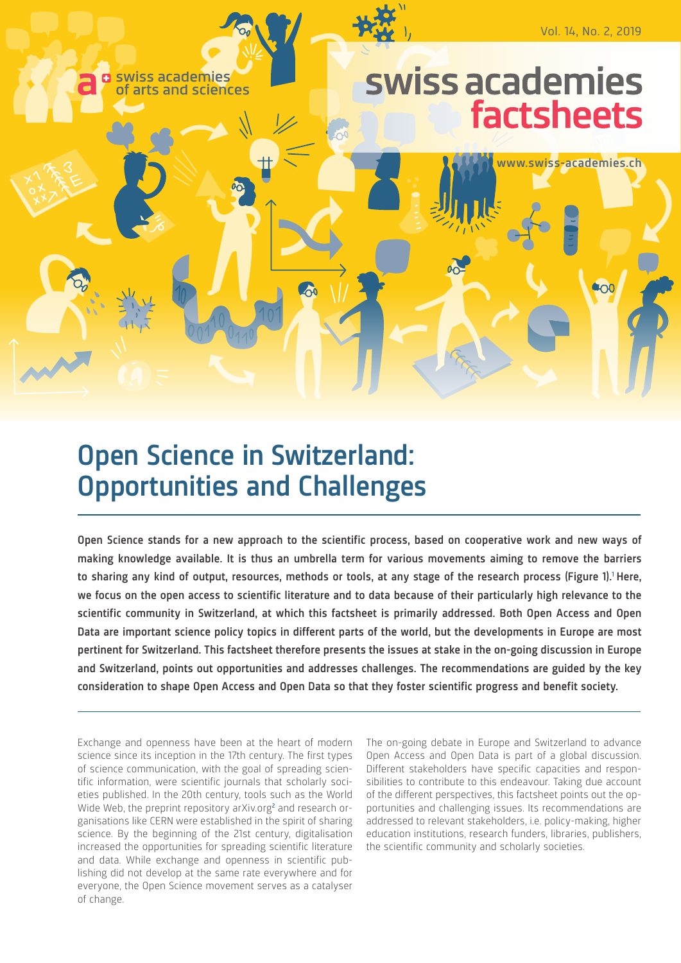

# Open Science in Switzerland: Opportunities and Challenges

Open Science stands for a new approach to the scientific process, based on cooperative work and new ways of making knowledge available. It is thus an umbrella term for various movements aiming to remove the barriers to sharing any kind of output, resources, methods or tools, at any stage of the research process (Figure 1).<sup>1</sup> Here, we focus on the open access to scientific literature and to data because of their particularly high relevance to the scientific community in Switzerland, at which this factsheet is primarily addressed. Both Open Access and Open Data are important science policy topics in different parts of the world, but the developments in Europe are most pertinent for Switzerland. This factsheet therefore presents the issues at stake in the on-going discussion in Europe and Switzerland, points out opportunities and addresses challenges. The recommendations are guided by the key consideration to shape Open Access and Open Data so that they foster scientific progress and benefit society.

Exchange and openness have been at the heart of modern science since its inception in the 17th century. The first types of science communication, with the goal of spreading scientific information, were scientific journals that scholarly societies published. In the 20th century, tools such as the World Wide Web, the preprint repository [arXiv.org](http://arXiv.org)<sup>[2](#page-6-0)</sup> and research organisations like CERN were established in the spirit of sharing science. By the beginning of the 21st century, digitalisation increased the opportunities for spreading scientific literature and data. While exchange and openness in scientific publishing did not develop at the same rate everywhere and for everyone, the Open Science movement serves as a catalyser of change.

The on-going debate in Europe and Switzerland to advance Open Access and Open Data is part of a global discussion. Different stakeholders have specific capacities and responsibilities to contribute to this endeavour. Taking due account of the different perspectives, this factsheet points out the opportunities and challenging issues. Its recommendations are addressed to relevant stakeholders, i.e. policy-making, higher education institutions, research funders, libraries, publishers, the scientific community and scholarly societies.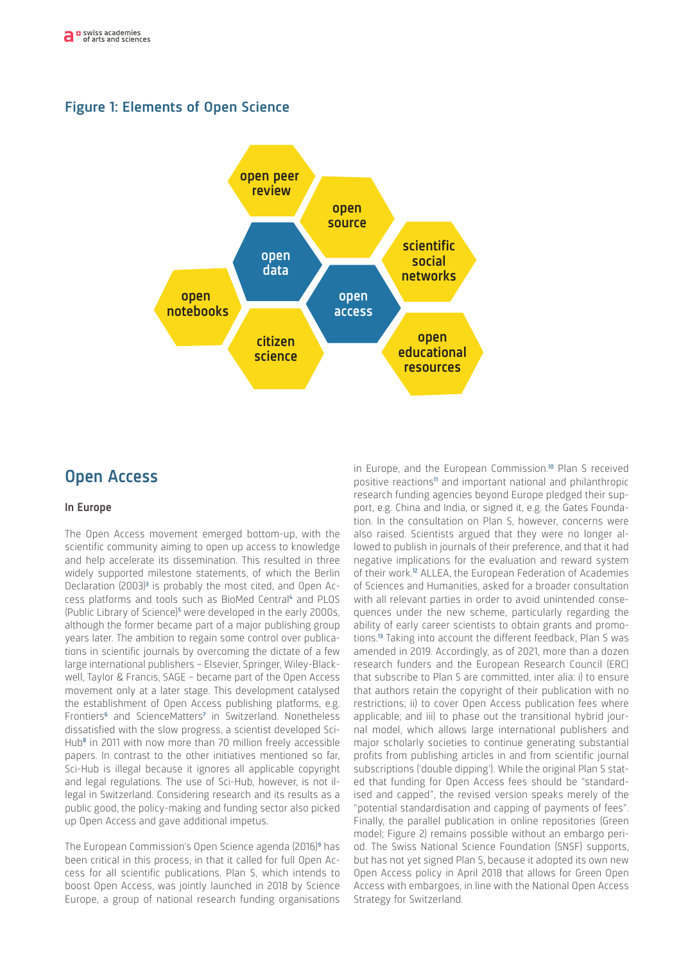# Figure 1: Elements of Open Science



# Open Access

### In Europe

The Open Access movement emerged bottom-up, with the scientific community aiming to open up access to knowledge and help accelerate its dissemination. This resulted in three widely supported milestone statements, of which the Berlin Declaration (200[3](#page-6-2))<sup>3</sup> is probably the most cited, and Open Ac-cess platforms and tools such as BioMed Central<sup>[4](#page-6-3)</sup> and PLOS (Public Library of Science)<sup>[5](#page-6-4)</sup> were developed in the early 2000s, although the former became part of a major publishing group years later. The ambition to regain some control over publications in scientific journals by overcoming the dictate of a few large international publishers – Elsevier, Springer, Wiley-Blackwell, Taylor & Francis, SAGE – became part of the Open Access movement only at a later stage. This development catalysed the establishment of Open Access publishing platforms, e.g. Frontiers<sup>[6](#page-6-5)</sup> and ScienceMatters<sup>[7](#page-6-6)</sup> in Switzerland. Nonetheless dissatisfied with the slow progress, a scientist developed Sci-Hub<sup>[8](#page-6-7)</sup> in 2011 with now more than 70 million freely accessible papers. In contrast to the other initiatives mentioned so far, Sci-Hub is illegal because it ignores all applicable copyright and legal regulations. The use of Sci-Hub, however, is not illegal in Switzerland. Considering research and its results as a public good, the policy-making and funding sector also picked up Open Access and gave additional impetus.

The European Commission's Open Science agenda (2016)<sup>[9](#page-6-8)</sup> has been critical in this process, in that it called for full Open Access for all scientific publications. Plan S, which intends to boost Open Access, was jointly launched in 2018 by Science Europe, a group of national research funding organisations

in Europe, and the European Commission.<sup>[10](#page-6-9)</sup> Plan S received positive reactions<sup>[11](#page-6-10)</sup> and important national and philanthropic research funding agencies beyond Europe pledged their support, e.g. China and India, or signed it, e.g. the Gates Foundation. In the consultation on Plan S, however, concerns were also raised. Scientists argued that they were no longer allowed to publish in journals of their preference, and that it had negative implications for the evaluation and reward system of their work.[12](#page-6-11) ALLEA, the European Federation of Academies of Sciences and Humanities, asked for a broader consultation with all relevant parties in order to avoid unintended consequences under the new scheme, particularly regarding the ability of early career scientists to obtain grants and promotions.[13](#page-6-12) Taking into account the different feedback, Plan S was amended in 2019. Accordingly, as of 2021, more than a dozen research funders and the European Research Council (ERC) that subscribe to Plan S are committed, inter alia: i) to ensure that authors retain the copyright of their publication with no restrictions; ii) to cover Open Access publication fees where applicable; and iii) to phase out the transitional hybrid journal model, which allows large international publishers and major scholarly societies to continue generating substantial profits from publishing articles in and from scientific journal subscriptions ('double dipping'). While the original Plan S stated that funding for Open Access fees should be "standardised and capped", the revised version speaks merely of the "potential standardisation and capping of payments of fees". Finally, the parallel publication in online repositories (Green model; Figure 2) remains possible without an embargo period. The Swiss National Science Foundation (SNSF) supports, but has not yet signed Plan S, because it adopted its own new Open Access policy in April 2018 that allows for Green Open Access with embargoes, in line with the National Open Access Strategy for Switzerland.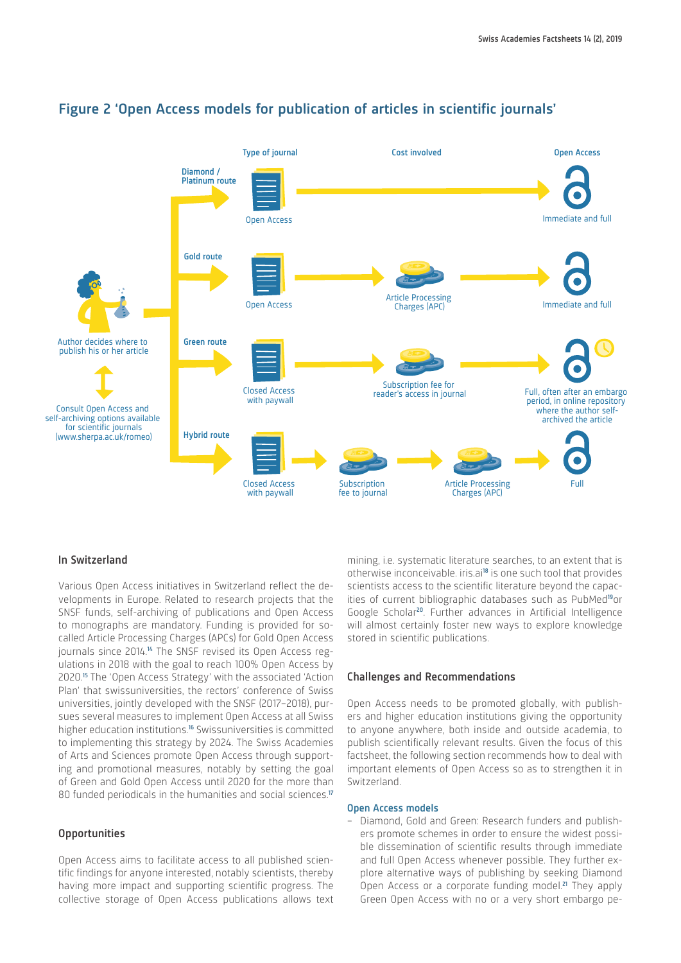

# Figure 2 'Open Access models for publication of articles in scientific journals'

## In Switzerland

Various Open Access initiatives in Switzerland reflect the developments in Europe. Related to research projects that the SNSF funds, self-archiving of publications and Open Access to monographs are mandatory. Funding is provided for socalled Article Processing Charges (APCs) for Gold Open Access journals since 20[14](#page-6-13).<sup>14</sup> The SNSF revised its Open Access regulations in 2018 with the goal to reach 100% Open Access by 2020.[15](#page-6-14) The 'Open Access Strategy' with the associated 'Action Plan' that swissuniversities, the rectors' conference of Swiss universities, jointly developed with the SNSF (2017–2018), pursues several measures to implement Open Access at all Swiss higher education institutions.<sup>[16](#page-6-15)</sup> Swissuniversities is committed to implementing this strategy by 2024. The Swiss Academies of Arts and Sciences promote Open Access through supporting and promotional measures, notably by setting the goal of Green and Gold Open Access until 2020 for the more than 80 funded periodicals in the humanities and social sciences.<sup>[17](#page-6-16)</sup>

### **Opportunities**

Open Access aims to facilitate access to all published scientific findings for anyone interested, notably scientists, thereby having more impact and supporting scientific progress. The collective storage of Open Access publications allows text mining, i.e. systematic literature searches, to an extent that is otherwise inconceivable. [iris.ai](http://iris.ai)<sup>[18](#page-6-17)</sup> is one such tool that provides scientists access to the scientific literature beyond the capac-ities of current bibliographic databases such as PubMed<sup>[19](#page-6-18)</sup>or Google Scholar[20](#page-6-19). Further advances in Artificial Intelligence will almost certainly foster new ways to explore knowledge stored in scientific publications.

#### Challenges and Recommendations

Open Access needs to be promoted globally, with publishers and higher education institutions giving the opportunity to anyone anywhere, both inside and outside academia, to publish scientifically relevant results. Given the focus of this factsheet, the following section recommends how to deal with important elements of Open Access so as to strengthen it in Switzerland.

#### Open Access models

– Diamond, Gold and Green: Research funders and publishers promote schemes in order to ensure the widest possible dissemination of scientific results through immediate and full Open Access whenever possible. They further explore alternative ways of publishing by seeking Diamond Open Access or a corporate funding model.<sup>[21](#page-6-20)</sup> They apply Green Open Access with no or a very short embargo pe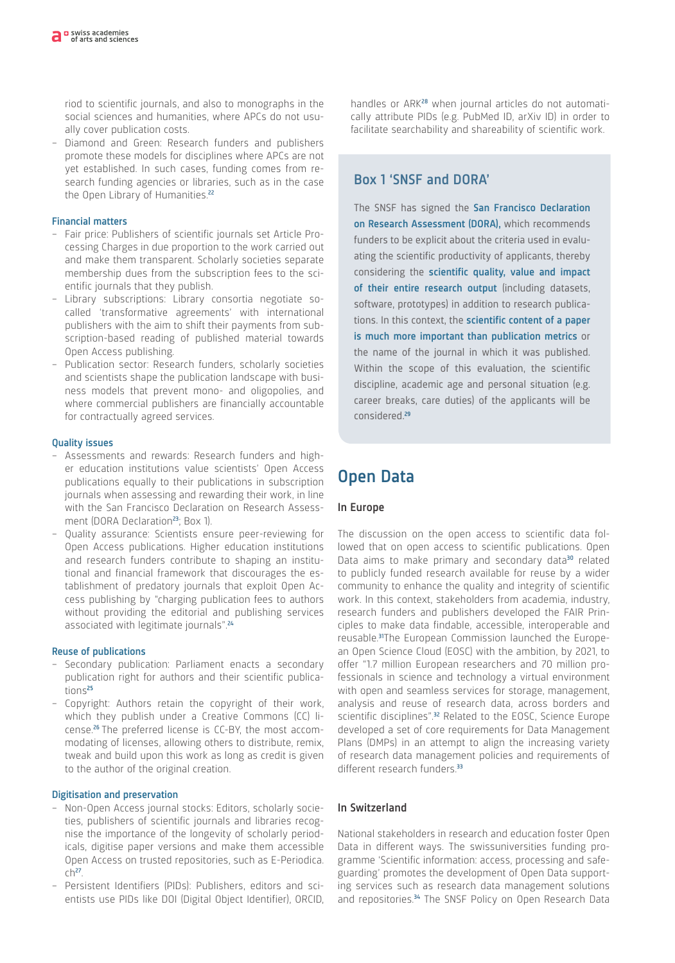riod to scientific journals, and also to monographs in the social sciences and humanities, where APCs do not usually cover publication costs.

– Diamond and Green: Research funders and publishers promote these models for disciplines where APCs are not yet established. In such cases, funding comes from research funding agencies or libraries, such as in the case the Open Library of Humanities.<sup>[22](#page-6-21)</sup>

#### Financial matters

- Fair price: Publishers of scientific journals set Article Processing Charges in due proportion to the work carried out and make them transparent. Scholarly societies separate membership dues from the subscription fees to the scientific journals that they publish.
- Library subscriptions: Library consortia negotiate socalled 'transformative agreements' with international publishers with the aim to shift their payments from subscription-based reading of published material towards Open Access publishing.
- Publication sector: Research funders, scholarly societies and scientists shape the publication landscape with business models that prevent mono- and oligopolies, and where commercial publishers are financially accountable for contractually agreed services.

### Quality issues

- Assessments and rewards: Research funders and higher education institutions value scientists' Open Access publications equally to their publications in subscription journals when assessing and rewarding their work, in line with the San Francisco Declaration on Research Assess-ment (DORA Declaration<sup>[23](#page-6-22)</sup>; Box 1).
- Quality assurance: Scientists ensure peer-reviewing for Open Access publications. Higher education institutions and research funders contribute to shaping an institutional and financial framework that discourages the establishment of predatory journals that exploit Open Access publishing by "charging publication fees to authors without providing the editorial and publishing services associated with legitimate journals".<sup>[24](#page-6-23)</sup>

#### Reuse of publications

- Secondary publication: Parliament enacts a secondary publication right for authors and their scientific publications[25](#page-6-24)
- Copyright: Authors retain the copyright of their work, which they publish under a Creative Commons (CC) license.[26](#page-6-25) The preferred license is CC-BY, the most accommodating of licenses, allowing others to distribute, remix, tweak and build upon this work as long as credit is given to the author of the original creation.

#### Digitisation and preservation

- Non-Open Access journal stocks: Editors, scholarly societies, publishers of scientific journals and libraries recognise the importance of the longevity of scholarly periodicals, digitise paper versions and make them accessible Open Access on trusted repositories, such as [E-Periodica.](http://E-Periodica.ch)  $ch<sup>27</sup>$  $ch<sup>27</sup>$  $ch<sup>27</sup>$  $ch<sup>27</sup>$ .
- Persistent Identifiers (PIDs): Publishers, editors and scientists use PIDs like DOI (Digital Object Identifier), ORCID,

handles or ARK<sup>[28](#page-6-27)</sup> when journal articles do not automatically attribute PIDs (e.g. PubMed ID, arXiv ID) in order to facilitate searchability and shareability of scientific work.

# Box 1 'SNSF and DORA'

The SNSF has signed the San Francisco Declaration on Research Assessment (DORA), which recommends funders to be explicit about the criteria used in evaluating the scientific productivity of applicants, thereby considering the scientific quality, value and impact of their entire research output (including datasets, software, prototypes) in addition to research publications. In this context, the scientific content of a paper is much more important than publication metrics or the name of the journal in which it was published. Within the scope of this evaluation, the scientific discipline, academic age and personal situation (e.g. career breaks, care duties) of the applicants will be considered.[29](#page-6-28)

# Open Data

### In Europe

The discussion on the open access to scientific data followed that on open access to scientific publications. Open Data aims to make primary and secondary data<sup>[30](#page-6-29)</sup> related to publicly funded research available for reuse by a wider community to enhance the quality and integrity of scientific work. In this context, stakeholders from academia, industry, research funders and publishers developed the FAIR Principles to make data findable, accessible, interoperable and reusable.[31](#page-6-30)The European Commission launched the European Open Science Cloud (EOSC) with the ambition, by 2021, to offer "1.7 million European researchers and 70 million professionals in science and technology a virtual environment with open and seamless services for storage, management, analysis and reuse of research data, across borders and scientific disciplines".<sup>[32](#page-6-31)</sup> Related to the EOSC, Science Europe developed a set of core requirements for Data Management Plans (DMPs) in an attempt to align the increasing variety of research data management policies and requirements of different research funders.<sup>[33](#page-6-32)</sup>

### In Switzerland

National stakeholders in research and education foster Open Data in different ways. The swissuniversities funding programme 'Scientific information: access, processing and safeguarding' promotes the development of Open Data supporting services such as research data management solutions and repositories.<sup>[34](#page-6-33)</sup> The SNSF Policy on Open Research Data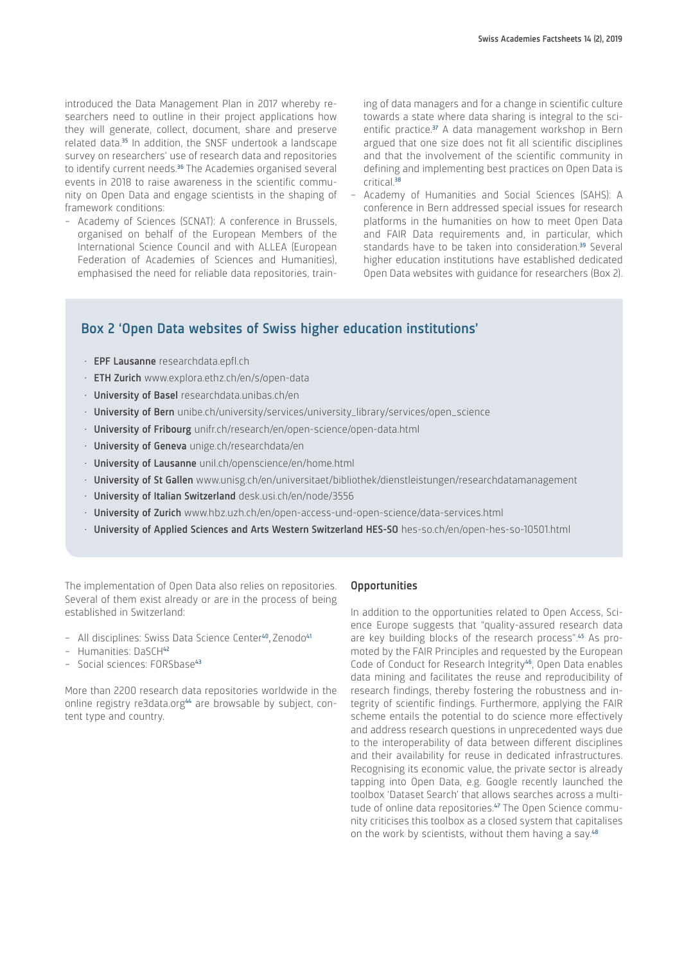introduced the Data Management Plan in 2017 whereby researchers need to outline in their project applications how they will generate, collect, document, share and preserve related data.<sup>[35](#page-6-34)</sup> In addition, the SNSF undertook a landscape survey on researchers' use of research data and repositories to identify current needs.<sup>[36](#page-6-35)</sup> The Academies organised several events in 2018 to raise awareness in the scientific community on Open Data and engage scientists in the shaping of framework conditions:

– Academy of Sciences (SCNAT): A conference in Brussels, organised on behalf of the European Members of the International Science Council and with ALLEA (European Federation of Academies of Sciences and Humanities), emphasised the need for reliable data repositories, training of data managers and for a change in scientific culture towards a state where data sharing is integral to the sci-entific practice.<sup>[37](#page-6-36)</sup> A data management workshop in Bern argued that one size does not fit all scientific disciplines and that the involvement of the scientific community in defining and implementing best practices on Open Data is critical.<sup>[38](#page-6-37)</sup>

– Academy of Humanities and Social Sciences (SAHS): A conference in Bern addressed special issues for research platforms in the humanities on how to meet Open Data and FAIR Data requirements and, in particular, which standards have to be taken into consideration.<sup>[39](#page-6-38)</sup> Several higher education institutions have established dedicated Open Data websites with guidance for researchers (Box 2).

# Box 2 'Open Data websites of Swiss higher education institutions'

- EPF Lausanne [researchdata.epfl.ch](http://researchdata.epfl.ch)
- ETH Zurich [www.explora.ethz.ch/en/s/open-data](http://www.explora.ethz.ch/en/s/open-data)
- University of Basel [researchdata.unibas.ch/en](http://researchdata.unibas.ch/en)
- University of Bern [unibe.ch/university/services/university\\_library/services/open\\_science](http://www.unibe.ch/university/services/university_library/services/open_science)
- University of Fribourg [unifr.ch/research/en/open-science/open-data.html](http://unibe.ch/university/services/university_library/services/open_science)
- University of Geneva [unige.ch/researchdata/en](http://unige.ch/researchdata/en)
- University of Lausanne [unil.ch/openscience/en/home.html](http://unil.ch/openscience/en/home.html)
- University of St Gallen [www.unisg.ch/en/universitaet/bibliothek/dienstleistungen/researchdatamanagement](http://www.unisg.ch/en/universitaet/bibliothek/dienstleistungen/researchdatamanagement)
- University of Italian Switzerland [desk.usi.ch/en/node/3556](http://desk.usi.ch/en/node/3556)
- University of Zurich www[.hbz.uzh.ch/en/open-access-und-open-science/data-services.html](http://www.hbz.uzh.ch/en/open-access-und-open-science/data-services.html)
- University of Applied Sciences and Arts Western Switzerland HES-SO [hes-so.ch/en/open-hes-so-10501.html](http://hes-so.ch/en/open-hes-so-10501.html)

The implementation of Open Data also relies on repositories. Several of them exist already or are in the process of being established in Switzerland:

- All disciplines: Swiss Data Science Center[40](#page-6-39), Zenodo[41](#page-6-40)
- Humanities: DaSCH<sup>[42](#page-6-41)</sup>
- Social sciences: FORSbase[43](#page-6-42)

More than 2200 research data repositories worldwide in the online registry [re3data.org](http://re3data.org)<sup>[44](#page-6-43)</sup> are browsable by subject, content type and country.

#### **Opportunities**

In addition to the opportunities related to Open Access, Science Europe suggests that "quality-assured research data are key building blocks of the research process".[45](#page-6-44) As promoted by the FAIR Principles and requested by the European Code of Conduct for Research Integrity<sup>[46](#page-6-45)</sup>, Open Data enables data mining and facilitates the reuse and reproducibility of research findings, thereby fostering the robustness and integrity of scientific findings. Furthermore, applying the FAIR scheme entails the potential to do science more effectively and address research questions in unprecedented ways due to the interoperability of data between different disciplines and their availability for reuse in dedicated infrastructures. Recognising its economic value, the private sector is already tapping into Open Data, e.g. Google recently launched the toolbox 'Dataset Search' that allows searches across a multi-tude of online data repositories.<sup>[47](#page-6-46)</sup> The Open Science community criticises this toolbox as a closed system that capitalises on the work by scientists, without them having a say.<sup>[48](#page-6-47)</sup>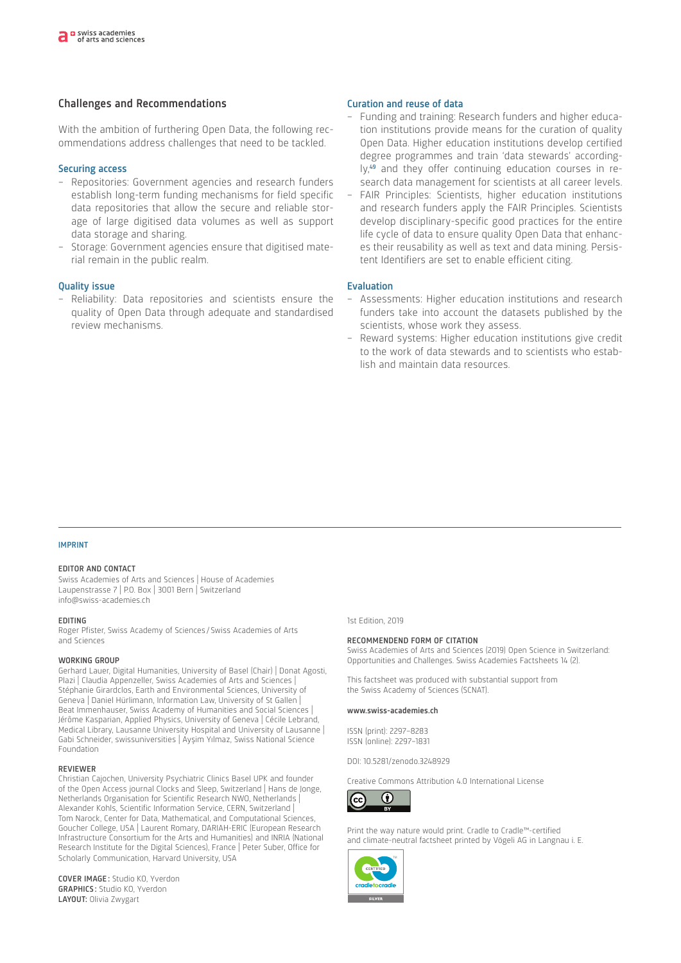### Challenges and Recommendations

With the ambition of furthering Open Data, the following recommendations address challenges that need to be tackled.

#### Securing access

- Repositories: Government agencies and research funders establish long-term funding mechanisms for field specific data repositories that allow the secure and reliable storage of large digitised data volumes as well as support data storage and sharing.
- Storage: Government agencies ensure that digitised material remain in the public realm.

#### Quality issue

– Reliability: Data repositories and scientists ensure the quality of Open Data through adequate and standardised review mechanisms.

#### Curation and reuse of data

- Funding and training: Research funders and higher education institutions provide means for the curation of quality Open Data. Higher education institutions develop certified degree programmes and train 'data stewards' according-ly,<sup>[49](#page-6-48)</sup> and they offer continuing education courses in research data management for scientists at all career levels.
- FAIR Principles: Scientists, higher education institutions and research funders apply the FAIR Principles. Scientists develop disciplinary-specific good practices for the entire life cycle of data to ensure quality Open Data that enhances their reusability as well as text and data mining. Persistent Identifiers are set to enable efficient citing.

#### Evaluation

- Assessments: Higher education institutions and research funders take into account the datasets published by the scientists, whose work they assess.
- Reward systems: Higher education institutions give credit to the work of data stewards and to scientists who establish and maintain data resources.

#### IMPRINT

#### EDITOR AND CONTACT

Swiss Academies of Arts and Sciences | House of Academies Laupenstrasse 7 | P.O. Box | 3001 Bern | Switzerland [info@swiss-academies.ch](mailto:info@swiss-academies.ch)

#### EDITING

Roger Pfister, Swiss Academy of Sciences / Swiss Academies of Arts and Sciences

#### WORKING GROUP

Gerhard Lauer, Digital Humanities, University of Basel (Chair) | Donat Agosti, Plazi | Claudia Appenzeller, Swiss Academies of Arts and Sciences | Stéphanie Girardclos, Earth and Environmental Sciences, University of Geneva | Daniel Hürlimann, Information Law, University of St Gallen | Beat Immenhauser, Swiss Academy of Humanities and Social Sciences | Jérôme Kasparian, Applied Physics, University of Geneva | Cécile Lebrand, Medical Library, Lausanne University Hospital and University of Lausanne | Gabi Schneider, swissuniversities | Ayşim Yılmaz, Swiss National Science Foundation

#### REVIEWER

Christian Cajochen, University Psychiatric Clinics Basel UPK and founder of the Open Access journal Clocks and Sleep, Switzerland | Hans de Jonge, Netherlands Organisation for Scientific Research NWO, Netherlands | Alexander Kohls, Scientific Information Service, CERN, Switzerland | Tom Narock, Center for Data, Mathematical, and Computational Sciences, Goucher College, USA | Laurent Romary, DARIAH-ERIC (European Research Infrastructure Consortium for the Arts and Humanities) and INRIA (National Research Institute for the Digital Sciences), France | Peter Suber, Office for Scholarly Communication, Harvard University, USA

COVER IMAGE : Studio KO, Yverdon **Umgang mit der Umwelt ein: GRAPHICS:** Studio KO, Yverdon LAYOUT: Olivia Zwygart 5tudio KO, Yverdon

#### 1st Edition, 2019

#### RECOMMENDEND FORM OF CITATION

Swiss Academies of Arts and Sciences (2019) Open Science in Switzerland: Opportunities and Challenges. Swiss Academies Factsheets 14 (2).

This factsheet was produced with substantial support from the Swiss Academy of Sciences (SCNAT).

#### [www.swiss-academies.ch](http://www.swiss-academies.ch)

ISSN (print): 2297–8283 ISSN (online): 2297–1831

[DOI: 10.5281/zenodo.3248929](https://doi.org/10.5281/zenodo.3248929)

Creative Commons Attribution 4.0 International License



Print the way nature would print. Cradle to Cradle™-certified and climate-neutral factsheet printed by Vögeli AG in Langnau i. E.